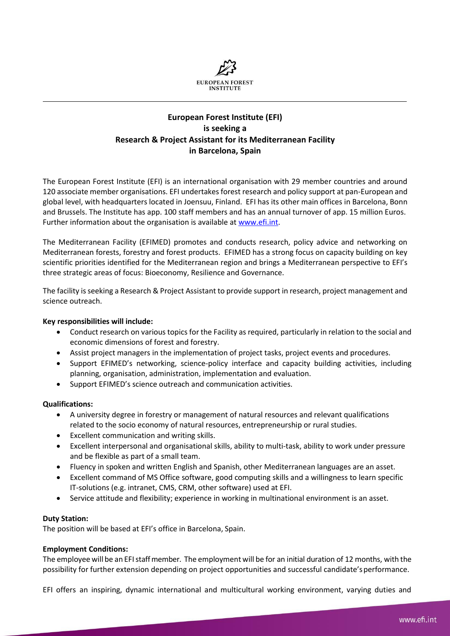

# **European Forest Institute (EFI) is seeking a Research & Project Assistant for its Mediterranean Facility in Barcelona, Spain**

The European Forest Institute (EFI) is an international organisation with 29 member countries and around 120 associate member organisations. EFI undertakes forest research and policy support at pan-European and global level, with headquarters located in Joensuu, Finland. EFI has its other main offices in Barcelona, Bonn and Brussels. The Institute has app. 100 staff members and has an annual turnover of app. 15 million Euros. Further information about the organisation is available a[t www.efi.int.](http://www.efi.int/)

The Mediterranean Facility (EFIMED) promotes and conducts research, policy advice and networking on Mediterranean forests, forestry and forest products. EFIMED has a strong focus on capacity building on key scientific priorities identified for the Mediterranean region and brings a Mediterranean perspective to EFI's three strategic areas of focus: Bioeconomy, Resilience and Governance.

The facility isseeking a Research & Project Assistant to provide support in research, project management and science outreach.

## **Key responsibilities will include:**

- Conduct research on various topics for the Facility as required, particularly in relation to the social and economic dimensions of forest and forestry.
- Assist project managers in the implementation of project tasks, project events and procedures.
- Support EFIMED's networking, science-policy interface and capacity building activities, including planning, organisation, administration, implementation and evaluation.
- Support EFIMED's science outreach and communication activities.

## **Qualifications:**

- A university degree in forestry or management of natural resources and relevant qualifications related to the socio economy of natural resources, entrepreneurship or rural studies.
- Excellent communication and writing skills.
- Excellent interpersonal and organisational skills, ability to multi-task, ability to work under pressure and be flexible as part of a small team.
- Fluency in spoken and written English and Spanish, other Mediterranean languages are an asset.
- Excellent command of MS Office software, good computing skills and a willingness to learn specific IT-solutions (e.g. intranet, CMS, CRM, other software) used at EFI.
- Service attitude and flexibility; experience in working in multinational environment is an asset.

## **Duty Station:**

The position will be based at EFI's office in Barcelona, Spain.

## **Employment Conditions:**

The employee will be an EFIstaffmember. The employment will be for an initial duration of 12 months, with the possibility for further extension depending on project opportunities and successful candidate'sperformance.

EFI offers an inspiring, dynamic international and multicultural working environment, varying duties and